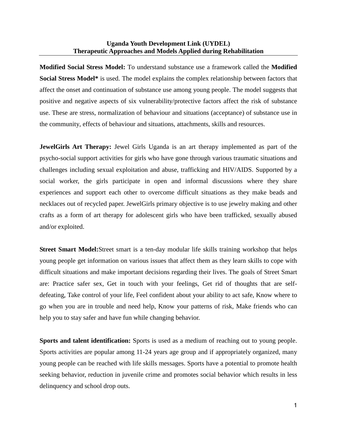## **Uganda Youth Development Link (UYDEL) Therapeutic Approaches and Models Applied during Rehabilitation**

**Modified Social Stress Model:** To understand substance use a framework called the **Modified Social Stress Model\*** is used. The model explains the complex relationship between factors that affect the onset and continuation of substance use among young people. The model suggests that positive and negative aspects of six vulnerability/protective factors affect the risk of substance use. These are stress, normalization of behaviour and situations (acceptance) of substance use in the community, effects of behaviour and situations, attachments, skills and resources.

**JewelGirls Art Therapy:** Jewel Girls Uganda is an art therapy implemented as part of the psycho-social support activities for girls who have gone through various traumatic situations and challenges including sexual exploitation and abuse, trafficking and HIV/AIDS. Supported by a social worker, the girls participate in open and informal discussions where they share experiences and support each other to overcome difficult situations as they make beads and necklaces out of recycled paper. JewelGirls primary objective is to use jewelry making and other crafts as a form of art therapy for adolescent girls who have been trafficked, sexually abused and/or exploited.

**Street Smart Model:**Street smart is a ten-day modular life skills training workshop that helps young people get information on various issues that affect them as they learn skills to cope with difficult situations and make important decisions regarding their lives. The goals of Street Smart are: Practice safer sex, Get in touch with your feelings, Get rid of thoughts that are selfdefeating, Take control of your life, Feel confident about your ability to act safe, Know where to go when you are in trouble and need help, Know your patterns of risk, Make friends who can help you to stay safer and have fun while changing behavior.

**Sports and talent identification:** Sports is used as a medium of reaching out to young people. Sports activities are popular among 11-24 years age group and if appropriately organized, many young people can be reached with life skills messages. Sports have a potential to promote health seeking behavior, reduction in juvenile crime and promotes social behavior which results in less delinquency and school drop outs.